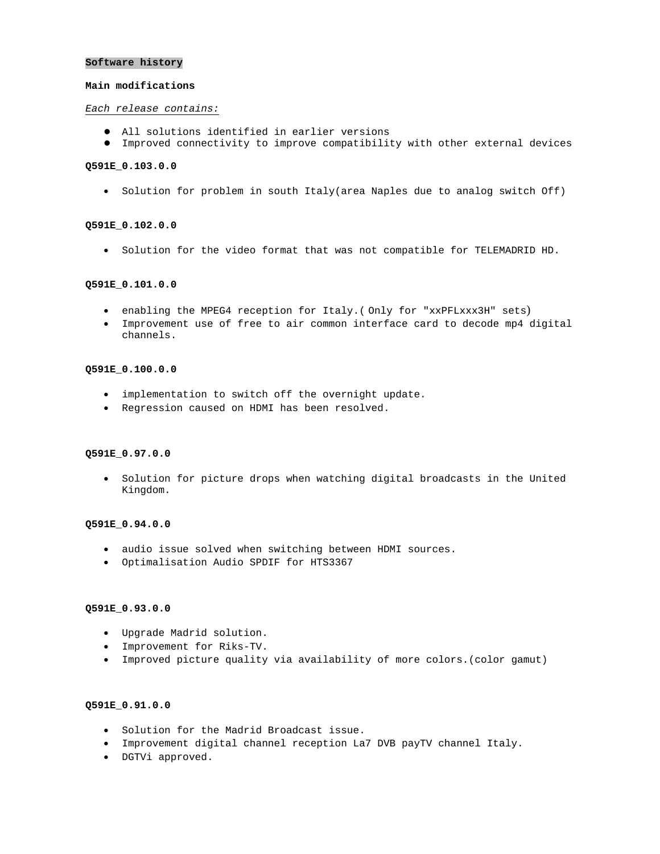#### **Software history**

#### **Main modifications**

#### *Each release contains:*

- $\bullet$  All solutions identified in earlier versions
- $\bullet$  Improved connectivity to improve compatibility with other external devices

# **Q591E\_0.103.0.0**

• Solution for problem in south Italy(area Naples due to analog switch Off)

#### **Q591E\_0.102.0.0**

• Solution for the video format that was not compatible for TELEMADRID HD.

### **Q591E\_0.101.0.0**

- enabling the MPEG4 reception for Italy.( Only for "xxPFLxxx3H" sets)
- Improvement use of free to air common interface card to decode mp4 digital channels.

### **Q591E\_0.100.0.0**

- implementation to switch off the overnight update.
- Regression caused on HDMI has been resolved.

## **Q591E\_0.97.0.0**

• Solution for picture drops when watching digital broadcasts in the United Kingdom.

#### **Q591E\_0.94.0.0**

- audio issue solved when switching between HDMI sources.
- Optimalisation Audio SPDIF for HTS3367

#### **Q591E\_0.93.0.0**

- Upgrade Madrid solution.
- Improvement for Riks-TV.
- Improved picture quality via availability of more colors.(color gamut)

### **Q591E\_0.91.0.0**

- Solution for the Madrid Broadcast issue.
- Improvement digital channel reception La7 DVB payTV channel Italy.
- DGTVi approved.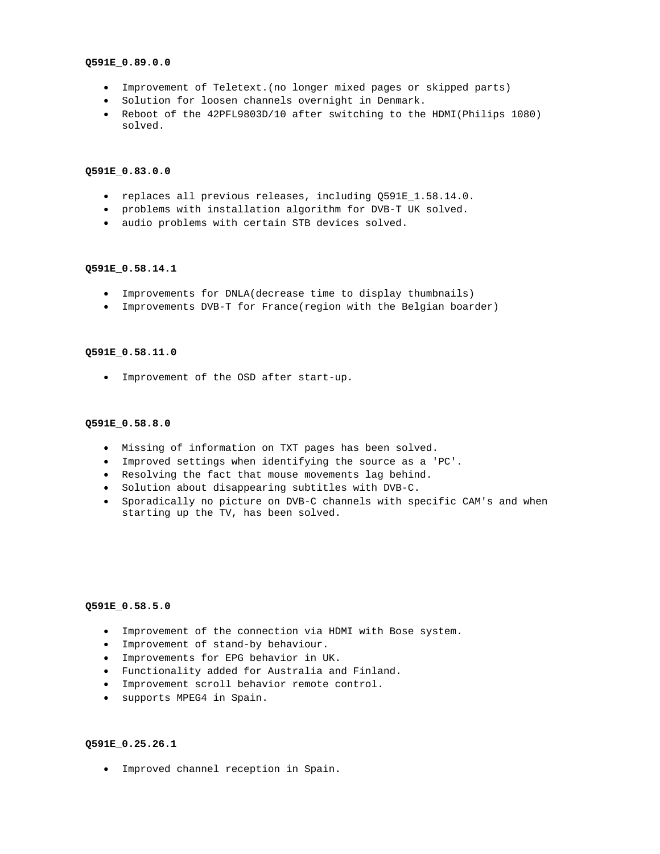#### **Q591E\_0.89.0.0**

- Improvement of Teletext.(no longer mixed pages or skipped parts)
- Solution for loosen channels overnight in Denmark.
- Reboot of the 42PFL9803D/10 after switching to the HDMI(Philips 1080) solved.

## **Q591E\_0.83.0.0**

- replaces all previous releases, including Q591E\_1.58.14.0.
- problems with installation algorithm for DVB-T UK solved.
- audio problems with certain STB devices solved.

## **Q591E\_0.58.14.1**

- Improvements for DNLA(decrease time to display thumbnails)
- Improvements DVB-T for France(region with the Belgian boarder)

#### **Q591E\_0.58.11.0**

• Improvement of the OSD after start-up.

#### **Q591E\_0.58.8.0**

- Missing of information on TXT pages has been solved.
- Improved settings when identifying the source as a 'PC'.
- Resolving the fact that mouse movements lag behind.
- Solution about disappearing subtitles with DVB-C.
- Sporadically no picture on DVB-C channels with specific CAM's and when starting up the TV, has been solved.

## **Q591E\_0.58.5.0**

- Improvement of the connection via HDMI with Bose system.
- Improvement of stand-by behaviour.
- Improvements for EPG behavior in UK.
- Functionality added for Australia and Finland.
- Improvement scroll behavior remote control.
- supports MPEG4 in Spain.

### **Q591E\_0.25.26.1**

• Improved channel reception in Spain.